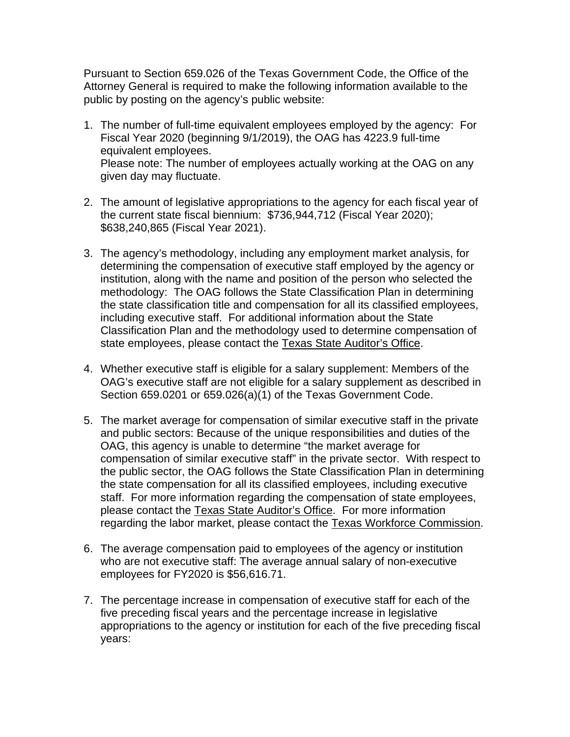Pursuant to Section 659.026 of the Texas Government Code, the Office of the Attorney General is required to make the following information available to the public by posting on the agency's public website:

- 1. The number of full-time equivalent employees employed by the agency: For Fiscal Year 2020 (beginning 9/1/2019), the OAG has 4223.9 full-time equivalent employees. Please note: The number of employees actually working at the OAG on any given day may fluctuate.
- 2. The amount of legislative appropriations to the agency for each fiscal year of the current state fiscal biennium: \$736,944,712 (Fiscal Year 2020); \$638,240,865 (Fiscal Year 2021).
- 3. The agency's methodology, including any employment market analysis, for determining the compensation of executive staff employed by the agency or institution, along with the name and position of the person who selected the methodology: The OAG follows the State Classification Plan in determining the state classification title and compensation for all its classified employees, including executive staff. For additional information about the State Classification Plan and the methodology used to determine compensation of state employees, please contact the Texas State Auditor's Office.
- 4. Whether executive staff is eligible for a salary supplement: Members of the OAG's executive staff are not eligible for a salary supplement as described in Section 659.0201 or 659.026(a)(1) of the Texas Government Code.
- 5. The market average for compensation of similar executive staff in the private and public sectors: Because of the unique responsibilities and duties of the OAG, this agency is unable to determine "the market average for compensation of similar executive staff" in the private sector. With respect to the public sector, the OAG follows the State Classification Plan in determining the state compensation for all its classified employees, including executive staff. For more information regarding the compensation of state employees, please contact the Texas State Auditor's Office. For more information regarding the labor market, please contact the Texas Workforce Commission.
- 6. The average compensation paid to employees of the agency or institution who are not executive staff: The average annual salary of non-executive employees for FY2020 is \$56,616.71.
- 7. The percentage increase in compensation of executive staff for each of the five preceding fiscal years and the percentage increase in legislative appropriations to the agency or institution for each of the five preceding fiscal years: